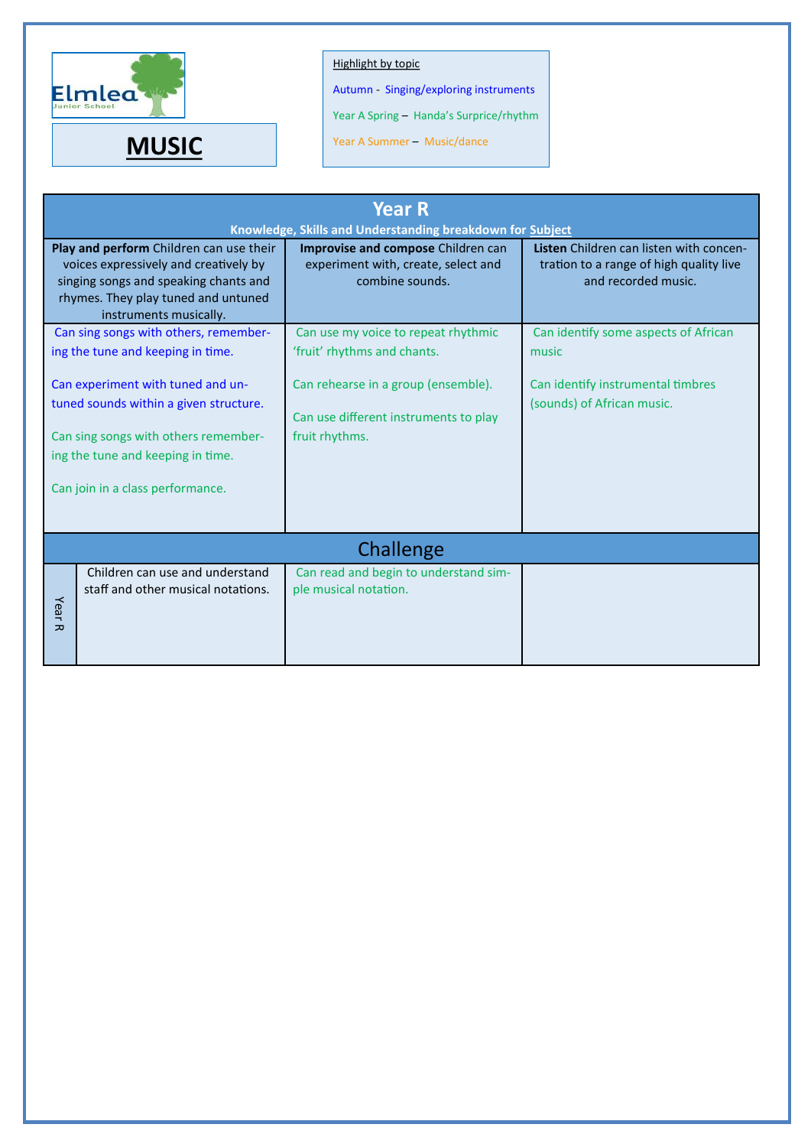

## Highlight by topic

Autumn - Singing/exploring instruments

Year A Spring – Handa's Surprice/rhythm

**MUSIC** Year A Summer – Music/dance

| <b>Year R</b><br>Knowledge, Skills and Understanding breakdown for Subject                                                                                                                 |                                       |                                                                                              |                                                                                                           |  |  |  |
|--------------------------------------------------------------------------------------------------------------------------------------------------------------------------------------------|---------------------------------------|----------------------------------------------------------------------------------------------|-----------------------------------------------------------------------------------------------------------|--|--|--|
| Play and perform Children can use their<br>voices expressively and creatively by<br>singing songs and speaking chants and<br>rhymes. They play tuned and untuned<br>instruments musically. |                                       | Improvise and compose Children can<br>experiment with, create, select and<br>combine sounds. | Listen Children can listen with concen-<br>tration to a range of high quality live<br>and recorded music. |  |  |  |
|                                                                                                                                                                                            | Can sing songs with others, remember- | Can use my voice to repeat rhythmic                                                          | Can identify some aspects of African                                                                      |  |  |  |
| ing the tune and keeping in time.                                                                                                                                                          |                                       | 'fruit' rhythms and chants.                                                                  | music                                                                                                     |  |  |  |
| Can experiment with tuned and un-                                                                                                                                                          |                                       | Can rehearse in a group (ensemble).                                                          | Can identify instrumental timbres                                                                         |  |  |  |
| tuned sounds within a given structure.                                                                                                                                                     |                                       | Can use different instruments to play                                                        | (sounds) of African music.                                                                                |  |  |  |
| Can sing songs with others remember-                                                                                                                                                       |                                       | fruit rhythms.                                                                               |                                                                                                           |  |  |  |
| ing the tune and keeping in time.                                                                                                                                                          |                                       |                                                                                              |                                                                                                           |  |  |  |
| Can join in a class performance.                                                                                                                                                           |                                       |                                                                                              |                                                                                                           |  |  |  |
|                                                                                                                                                                                            |                                       |                                                                                              |                                                                                                           |  |  |  |
| Challenge                                                                                                                                                                                  |                                       |                                                                                              |                                                                                                           |  |  |  |
|                                                                                                                                                                                            | Children can use and understand       | Can read and begin to understand sim-                                                        |                                                                                                           |  |  |  |
| Year                                                                                                                                                                                       | staff and other musical notations.    | ple musical notation.                                                                        |                                                                                                           |  |  |  |
| 고                                                                                                                                                                                          |                                       |                                                                                              |                                                                                                           |  |  |  |
|                                                                                                                                                                                            |                                       |                                                                                              |                                                                                                           |  |  |  |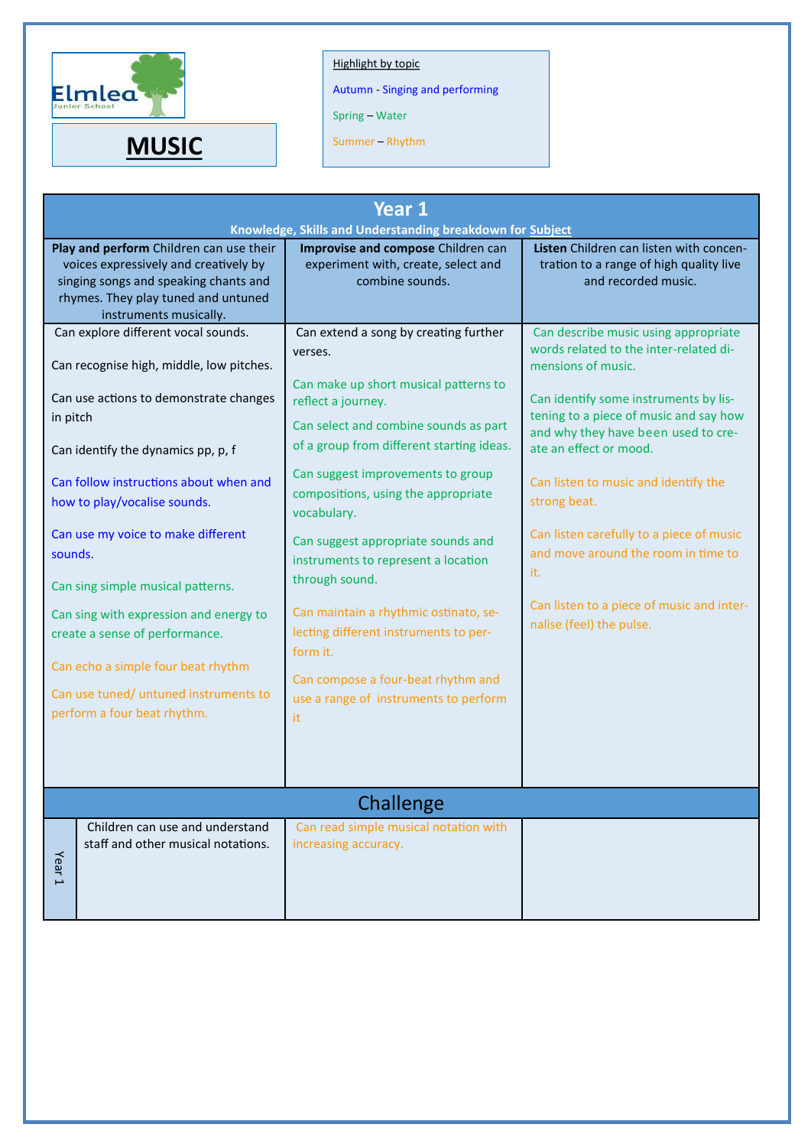

## Highlight by topic

Autumn - Singing and performing

Spring – Water

**MUSIC** Summer – Rhythm

| Year 1<br>Knowledge, Skills and Understanding breakdown for Subject                                                                                                                                                                                                                                                                                                                                                                                                                                                                   |                                                                                                                                                                                                                                                                                                                                                                                                                                                                                                                                                                                    |                                                                                                                                                                                                                                                                                                                                                                                                                                                                                     |  |  |  |  |
|---------------------------------------------------------------------------------------------------------------------------------------------------------------------------------------------------------------------------------------------------------------------------------------------------------------------------------------------------------------------------------------------------------------------------------------------------------------------------------------------------------------------------------------|------------------------------------------------------------------------------------------------------------------------------------------------------------------------------------------------------------------------------------------------------------------------------------------------------------------------------------------------------------------------------------------------------------------------------------------------------------------------------------------------------------------------------------------------------------------------------------|-------------------------------------------------------------------------------------------------------------------------------------------------------------------------------------------------------------------------------------------------------------------------------------------------------------------------------------------------------------------------------------------------------------------------------------------------------------------------------------|--|--|--|--|
| Play and perform Children can use their<br>voices expressively and creatively by<br>singing songs and speaking chants and<br>rhymes. They play tuned and untuned<br>instruments musically.                                                                                                                                                                                                                                                                                                                                            | Improvise and compose Children can<br>experiment with, create, select and<br>combine sounds.                                                                                                                                                                                                                                                                                                                                                                                                                                                                                       | Listen Children can listen with concen-<br>tration to a range of high quality live<br>and recorded music.                                                                                                                                                                                                                                                                                                                                                                           |  |  |  |  |
| Can explore different vocal sounds.<br>Can recognise high, middle, low pitches.<br>Can use actions to demonstrate changes<br>in pitch<br>Can identify the dynamics pp, p, f<br>Can follow instructions about when and<br>how to play/vocalise sounds.<br>Can use my voice to make different<br>sounds.<br>Can sing simple musical patterns.<br>Can sing with expression and energy to<br>create a sense of performance.<br>Can echo a simple four beat rhythm<br>Can use tuned/ untuned instruments to<br>perform a four beat rhythm. | Can extend a song by creating further<br>verses.<br>Can make up short musical patterns to<br>reflect a journey.<br>Can select and combine sounds as part<br>of a group from different starting ideas.<br>Can suggest improvements to group<br>compositions, using the appropriate<br>vocabulary.<br>Can suggest appropriate sounds and<br>instruments to represent a location<br>through sound.<br>Can maintain a rhythmic ostinato, se-<br>lecting different instruments to per-<br>form it.<br>Can compose a four-beat rhythm and<br>use a range of instruments to perform<br>it | Can describe music using appropriate<br>words related to the inter-related di-<br>mensions of music.<br>Can identify some instruments by lis-<br>tening to a piece of music and say how<br>and why they have been used to cre-<br>ate an effect or mood.<br>Can listen to music and identify the<br>strong beat.<br>Can listen carefully to a piece of music<br>and move around the room in time to<br>it.<br>Can listen to a piece of music and inter-<br>nalise (feel) the pulse. |  |  |  |  |
|                                                                                                                                                                                                                                                                                                                                                                                                                                                                                                                                       | Challenge                                                                                                                                                                                                                                                                                                                                                                                                                                                                                                                                                                          |                                                                                                                                                                                                                                                                                                                                                                                                                                                                                     |  |  |  |  |
| Children can use and understand<br>staff and other musical notations.<br>Year <sub>1</sub>                                                                                                                                                                                                                                                                                                                                                                                                                                            | Can read simple musical notation with<br>increasing accuracy.                                                                                                                                                                                                                                                                                                                                                                                                                                                                                                                      |                                                                                                                                                                                                                                                                                                                                                                                                                                                                                     |  |  |  |  |